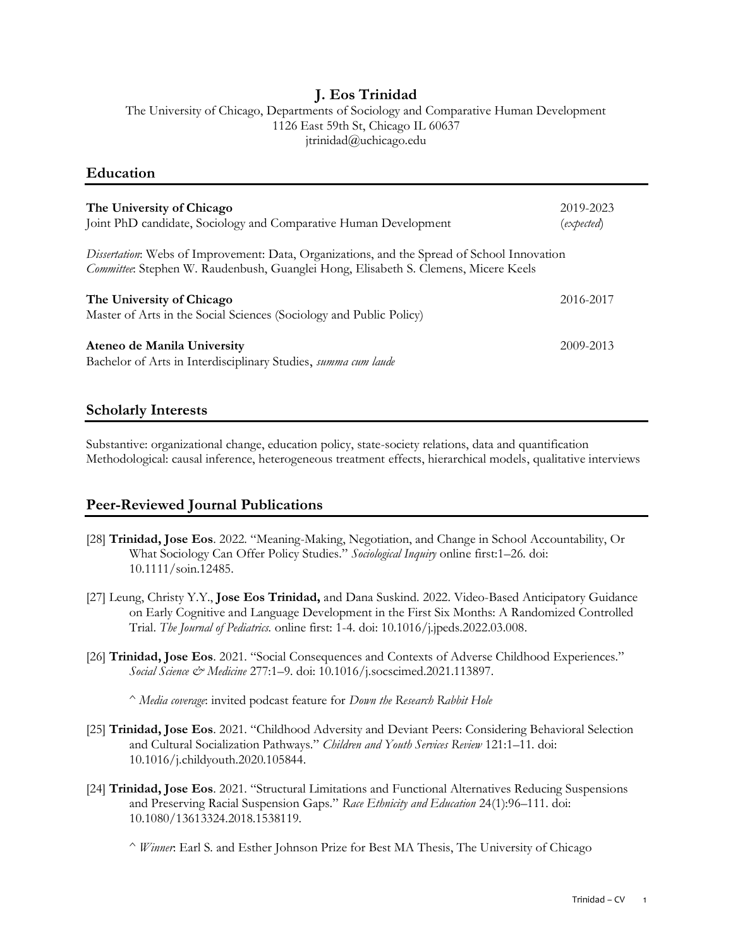### **J. Eos Trinidad**

The University of Chicago, Departments of Sociology and Comparative Human Development 1126 East 59th St, Chicago IL 60637 jtrinidad@uchicago.edu

#### **Education**

| The University of Chicago<br>Joint PhD candidate, Sociology and Comparative Human Development                                                                                      | 2019-2023<br>(expected) |
|------------------------------------------------------------------------------------------------------------------------------------------------------------------------------------|-------------------------|
| Dissertation: Webs of Improvement: Data, Organizations, and the Spread of School Innovation<br>Committee: Stephen W. Raudenbush, Guanglei Hong, Elisabeth S. Clemens, Micere Keels |                         |
| The University of Chicago<br>Master of Arts in the Social Sciences (Sociology and Public Policy)                                                                                   | 2016-2017               |
| Ateneo de Manila University<br>Bachelor of Arts in Interdisciplinary Studies, summa cum laude                                                                                      | 2009-2013               |

### **Scholarly Interests**

Substantive: organizational change, education policy, state-society relations, data and quantification Methodological: causal inference, heterogeneous treatment effects, hierarchical models, qualitative interviews

### **Peer-Reviewed Journal Publications**

- [28] **Trinidad, Jose Eos**. 2022. "Meaning-Making, Negotiation, and Change in School Accountability, Or What Sociology Can Offer Policy Studies." *Sociological Inquiry* online first:1–26. doi: 10.1111/soin.12485.
- [27] Leung, Christy Y.Y., **Jose Eos Trinidad,** and Dana Suskind. 2022. Video-Based Anticipatory Guidance on Early Cognitive and Language Development in the First Six Months: A Randomized Controlled Trial. *The Journal of Pediatrics.* online first: 1-4. doi: 10.1016/j.jpeds.2022.03.008.
- [26] **Trinidad, Jose Eos**. 2021. "Social Consequences and Contexts of Adverse Childhood Experiences." *Social Science & Medicine* 277:1–9. doi: 10.1016/j.socscimed.2021.113897.

^ *Media coverage*: invited podcast feature for *Down the Research Rabbit Hole*

- [25] **Trinidad, Jose Eos**. 2021. "Childhood Adversity and Deviant Peers: Considering Behavioral Selection and Cultural Socialization Pathways." *Children and Youth Services Review* 121:1–11. doi: 10.1016/j.childyouth.2020.105844.
- [24] **Trinidad, Jose Eos**. 2021. "Structural Limitations and Functional Alternatives Reducing Suspensions and Preserving Racial Suspension Gaps." *Race Ethnicity and Education* 24(1):96–111. doi: 10.1080/13613324.2018.1538119.

^ *Winner*: Earl S. and Esther Johnson Prize for Best MA Thesis, The University of Chicago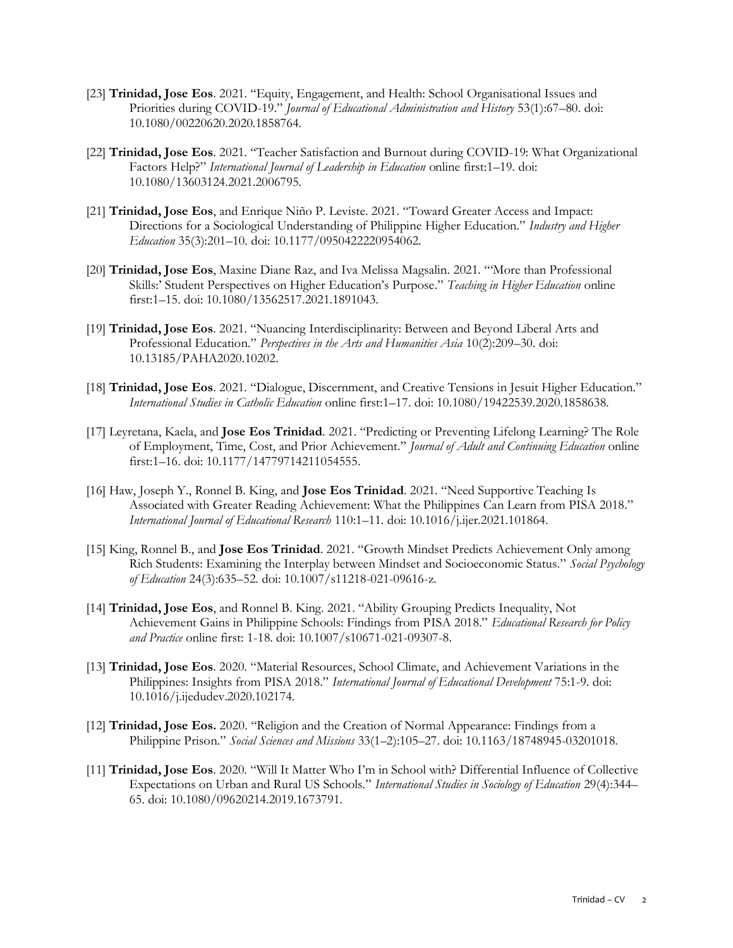- [23] **Trinidad, Jose Eos**. 2021. "Equity, Engagement, and Health: School Organisational Issues and Priorities during COVID-19." *Journal of Educational Administration and History* 53(1):67–80. doi: 10.1080/00220620.2020.1858764.
- [22] **Trinidad, Jose Eos**. 2021. "Teacher Satisfaction and Burnout during COVID-19: What Organizational Factors Help?" *International Journal of Leadership in Education* online first:1–19. doi: 10.1080/13603124.2021.2006795.
- [21] **Trinidad, Jose Eos**, and Enrique Niño P. Leviste. 2021. "Toward Greater Access and Impact: Directions for a Sociological Understanding of Philippine Higher Education." *Industry and Higher Education* 35(3):201–10. doi: 10.1177/0950422220954062.
- [20] **Trinidad, Jose Eos**, Maxine Diane Raz, and Iva Melissa Magsalin. 2021. "'More than Professional Skills:' Student Perspectives on Higher Education's Purpose." *Teaching in Higher Education* online first:1–15. doi: 10.1080/13562517.2021.1891043.
- [19] **Trinidad, Jose Eos**. 2021. "Nuancing Interdisciplinarity: Between and Beyond Liberal Arts and Professional Education." *Perspectives in the Arts and Humanities Asia* 10(2):209–30. doi: 10.13185/PAHA2020.10202.
- [18] **Trinidad, Jose Eos**. 2021. "Dialogue, Discernment, and Creative Tensions in Jesuit Higher Education." *International Studies in Catholic Education* online first:1–17. doi: 10.1080/19422539.2020.1858638.
- [17] Leyretana, Kaela, and **Jose Eos Trinidad**. 2021. "Predicting or Preventing Lifelong Learning? The Role of Employment, Time, Cost, and Prior Achievement." *Journal of Adult and Continuing Education* online first:1–16. doi: 10.1177/14779714211054555.
- [16] Haw, Joseph Y., Ronnel B. King, and **Jose Eos Trinidad**. 2021. "Need Supportive Teaching Is Associated with Greater Reading Achievement: What the Philippines Can Learn from PISA 2018." *International Journal of Educational Research* 110:1–11. doi: 10.1016/j.ijer.2021.101864.
- [15] King, Ronnel B., and **Jose Eos Trinidad**. 2021. "Growth Mindset Predicts Achievement Only among Rich Students: Examining the Interplay between Mindset and Socioeconomic Status." *Social Psychology of Education* 24(3):635–52. doi: 10.1007/s11218-021-09616-z.
- [14] **Trinidad, Jose Eos**, and Ronnel B. King. 2021. "Ability Grouping Predicts Inequality, Not Achievement Gains in Philippine Schools: Findings from PISA 2018." *Educational Research for Policy and Practice* online first: 1-18. doi: 10.1007/s10671-021-09307-8.
- [13] **Trinidad, Jose Eos**. 2020. "Material Resources, School Climate, and Achievement Variations in the Philippines: Insights from PISA 2018." *International Journal of Educational Development* 75:1-9. doi: 10.1016/j.ijedudev.2020.102174.
- [12] **Trinidad, Jose Eos.** 2020. "Religion and the Creation of Normal Appearance: Findings from a Philippine Prison." *Social Sciences and Missions* 33(1–2):105–27. doi: 10.1163/18748945-03201018.
- [11] **Trinidad, Jose Eos**. 2020. "Will It Matter Who I'm in School with? Differential Influence of Collective Expectations on Urban and Rural US Schools." *International Studies in Sociology of Education* 29(4):344– 65. doi: 10.1080/09620214.2019.1673791.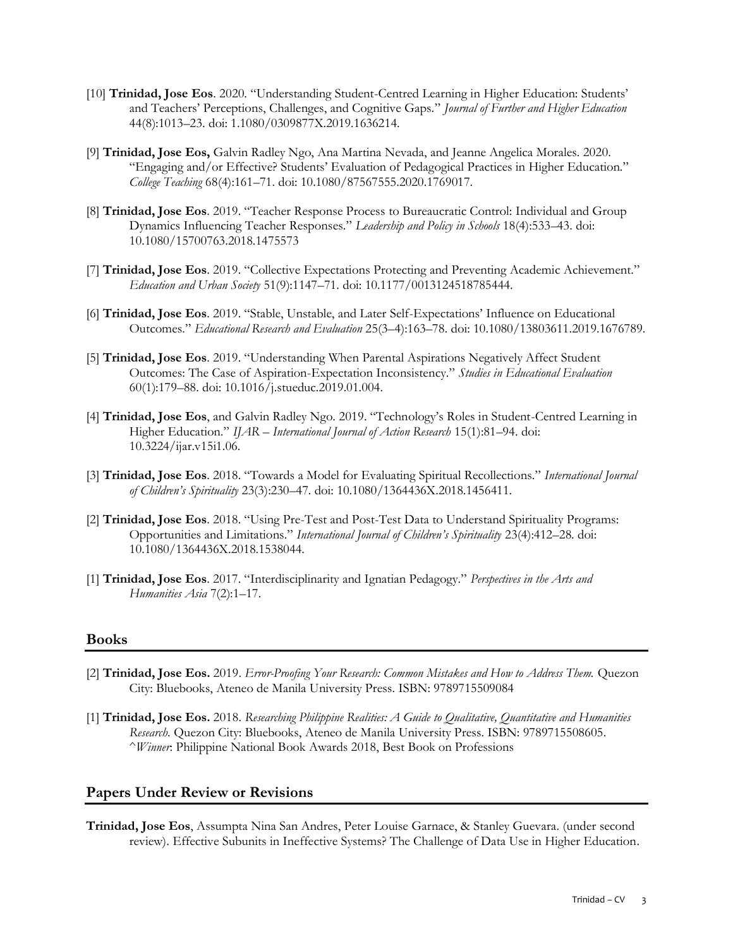- [10] **Trinidad, Jose Eos**. 2020. "Understanding Student-Centred Learning in Higher Education: Students' and Teachers' Perceptions, Challenges, and Cognitive Gaps." *Journal of Further and Higher Education* 44(8):1013–23. doi: 1.1080/0309877X.2019.1636214.
- [9] **Trinidad, Jose Eos,** Galvin Radley Ngo, Ana Martina Nevada, and Jeanne Angelica Morales. 2020. "Engaging and/or Effective? Students' Evaluation of Pedagogical Practices in Higher Education." *College Teaching* 68(4):161–71. doi: 10.1080/87567555.2020.1769017.
- [8] **Trinidad, Jose Eos**. 2019. "Teacher Response Process to Bureaucratic Control: Individual and Group Dynamics Influencing Teacher Responses." *Leadership and Policy in Schools* 18(4):533–43. doi: 10.1080/15700763.2018.1475573
- [7] **Trinidad, Jose Eos**. 2019. "Collective Expectations Protecting and Preventing Academic Achievement." *Education and Urban Society* 51(9):1147–71. doi: 10.1177/0013124518785444.
- [6] **Trinidad, Jose Eos**. 2019. "Stable, Unstable, and Later Self-Expectations' Influence on Educational Outcomes." *Educational Research and Evaluation* 25(3–4):163–78. doi: 10.1080/13803611.2019.1676789.
- [5] **Trinidad, Jose Eos**. 2019. "Understanding When Parental Aspirations Negatively Affect Student Outcomes: The Case of Aspiration-Expectation Inconsistency." *Studies in Educational Evaluation* 60(1):179–88. doi: 10.1016/j.stueduc.2019.01.004.
- [4] **Trinidad, Jose Eos**, and Galvin Radley Ngo. 2019. "Technology's Roles in Student-Centred Learning in Higher Education." *IJAR – International Journal of Action Research* 15(1):81–94. doi: 10.3224/ijar.v15i1.06.
- [3] **Trinidad, Jose Eos**. 2018. "Towards a Model for Evaluating Spiritual Recollections." *International Journal of Children's Spirituality* 23(3):230–47. doi: 10.1080/1364436X.2018.1456411.
- [2] **Trinidad, Jose Eos**. 2018. "Using Pre-Test and Post-Test Data to Understand Spirituality Programs: Opportunities and Limitations." *International Journal of Children's Spirituality* 23(4):412–28. doi: 10.1080/1364436X.2018.1538044.
- [1] **Trinidad, Jose Eos**. 2017. "Interdisciplinarity and Ignatian Pedagogy." *Perspectives in the Arts and Humanities Asia* 7(2):1–17.

### **Books**

- [2] **Trinidad, Jose Eos.** 2019. *Error-Proofing Your Research: Common Mistakes and How to Address Them.* Quezon City: Bluebooks, Ateneo de Manila University Press. ISBN: 9789715509084
- [1] **Trinidad, Jose Eos.** 2018. *Researching Philippine Realities: A Guide to Qualitative, Quantitative and Humanities Research*. Quezon City: Bluebooks, Ateneo de Manila University Press. ISBN: 9789715508605. ^*Winner*: Philippine National Book Awards 2018, Best Book on Professions

### **Papers Under Review or Revisions**

**Trinidad, Jose Eos**, Assumpta Nina San Andres, Peter Louise Garnace, & Stanley Guevara. (under second review). Effective Subunits in Ineffective Systems? The Challenge of Data Use in Higher Education.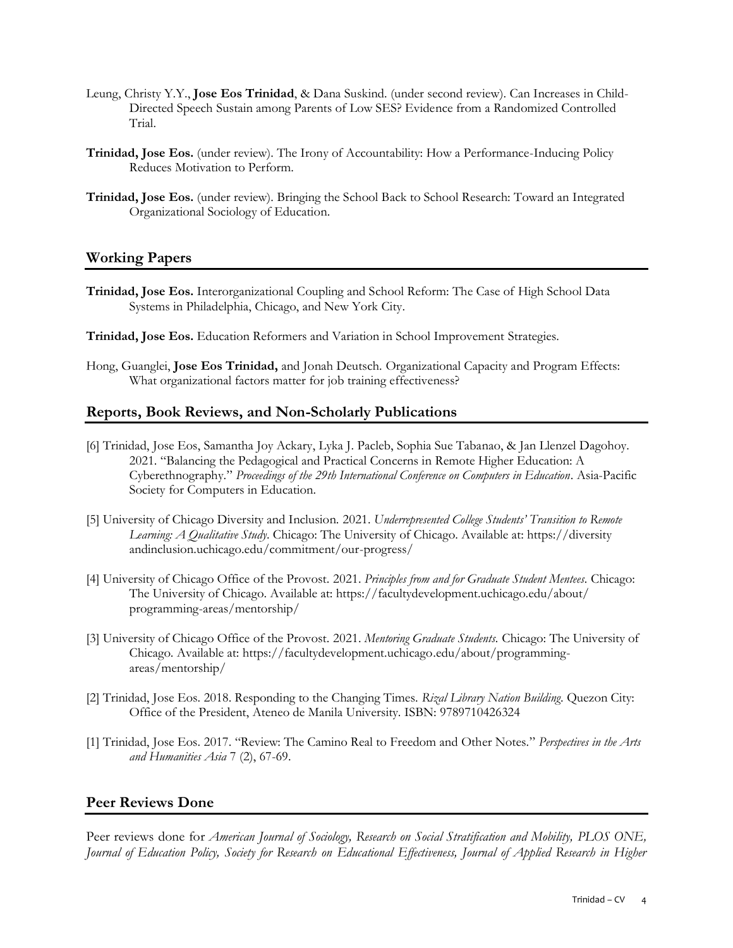- Leung, Christy Y.Y., **Jose Eos Trinidad**, & Dana Suskind. (under second review). Can Increases in Child-Directed Speech Sustain among Parents of Low SES? Evidence from a Randomized Controlled Trial.
- **Trinidad, Jose Eos.** (under review). The Irony of Accountability: How a Performance-Inducing Policy Reduces Motivation to Perform.
- **Trinidad, Jose Eos.** (under review). Bringing the School Back to School Research: Toward an Integrated Organizational Sociology of Education.

### **Working Papers**

- **Trinidad, Jose Eos.** Interorganizational Coupling and School Reform: The Case of High School Data Systems in Philadelphia, Chicago, and New York City.
- **Trinidad, Jose Eos.** Education Reformers and Variation in School Improvement Strategies.
- Hong, Guanglei, **Jose Eos Trinidad,** and Jonah Deutsch. Organizational Capacity and Program Effects: What organizational factors matter for job training effectiveness?

### **Reports, Book Reviews, and Non-Scholarly Publications**

- [6] Trinidad, Jose Eos, Samantha Joy Ackary, Lyka J. Pacleb, Sophia Sue Tabanao, & Jan Llenzel Dagohoy. 2021. "Balancing the Pedagogical and Practical Concerns in Remote Higher Education: A Cyberethnography." *Proceedings of the 29th International Conference on Computers in Education*. Asia-Pacific Society for Computers in Education.
- [5] University of Chicago Diversity and Inclusion. 2021. *Underrepresented College Students' Transition to Remote Learning: A Qualitative Study*. Chicago: The University of Chicago. Available at: https://diversity andinclusion.uchicago.edu/commitment/our-progress/
- [4] University of Chicago Office of the Provost. 2021. *Principles from and for Graduate Student Mentees.* Chicago: The University of Chicago. Available at: https://facultydevelopment.uchicago.edu/about/ programming-areas/mentorship/
- [3] University of Chicago Office of the Provost. 2021. *Mentoring Graduate Students.* Chicago: The University of Chicago. Available at: https://facultydevelopment.uchicago.edu/about/programmingareas/mentorship/
- [2] Trinidad, Jose Eos. 2018. Responding to the Changing Times. *Rizal Library Nation Building*. Quezon City: Office of the President, Ateneo de Manila University. ISBN: 9789710426324
- [1] Trinidad, Jose Eos. 2017. "Review: The Camino Real to Freedom and Other Notes." *Perspectives in the Arts and Humanities Asia* 7 (2), 67-69.

### **Peer Reviews Done**

Peer reviews done for *American Journal of Sociology, Research on Social Stratification and Mobility, PLOS ONE, Journal of Education Policy, Society for Research on Educational Effectiveness, Journal of Applied Research in Higher*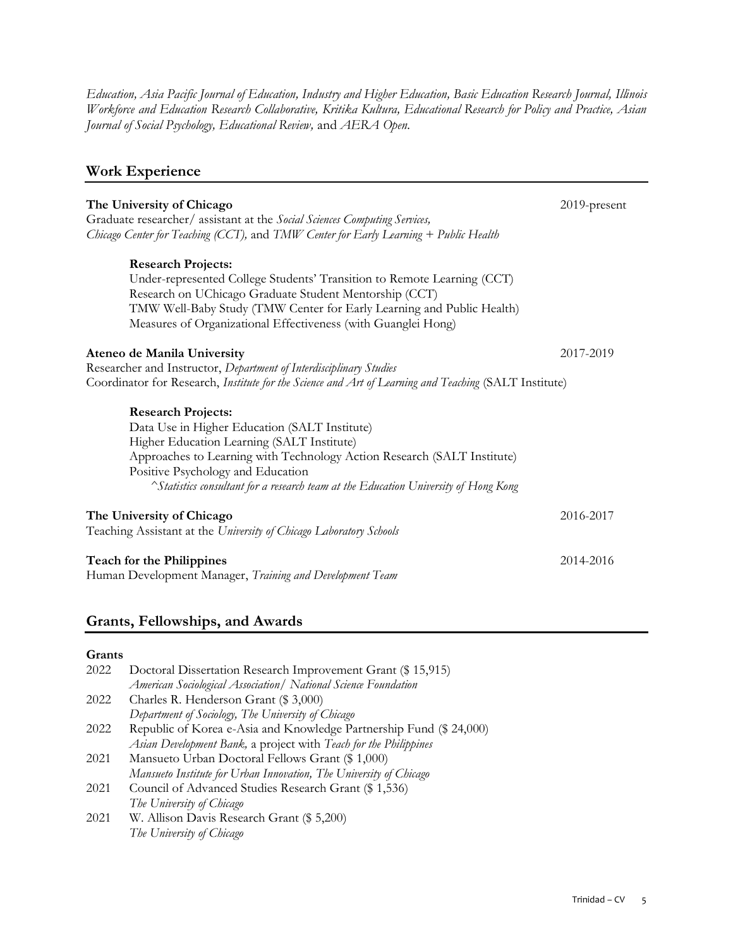*Education, Asia Pacific Journal of Education, Industry and Higher Education, Basic Education Research Journal, Illinois Workforce and Education Research Collaborative, Kritika Kultura, Educational Research for Policy and Practice, Asian Journal of Social Psychology, Educational Review,* and *AERA Open.*

### **Work Experience**

| The University of Chicago<br>Graduate researcher/ assistant at the Social Sciences Computing Services,<br>Chicago Center for Teaching (CCT), and TMW Center for Early Learning + Public Health                                                                                                                                  | 2019-present |
|---------------------------------------------------------------------------------------------------------------------------------------------------------------------------------------------------------------------------------------------------------------------------------------------------------------------------------|--------------|
| <b>Research Projects:</b><br>Under-represented College Students' Transition to Remote Learning (CCT)<br>Research on UChicago Graduate Student Mentorship (CCT)<br>TMW Well-Baby Study (TMW Center for Early Learning and Public Health)<br>Measures of Organizational Effectiveness (with Guanglei Hong)                        |              |
| Ateneo de Manila University                                                                                                                                                                                                                                                                                                     | 2017-2019    |
| Researcher and Instructor, Department of Interdisciplinary Studies<br>Coordinator for Research, Institute for the Science and Art of Learning and Teaching (SALT Institute)                                                                                                                                                     |              |
| <b>Research Projects:</b><br>Data Use in Higher Education (SALT Institute)<br>Higher Education Learning (SALT Institute)<br>Approaches to Learning with Technology Action Research (SALT Institute)<br>Positive Psychology and Education<br>^Statistics consultant for a research team at the Education University of Hong Kong |              |
| The University of Chicago<br>Teaching Assistant at the University of Chicago Laboratory Schools                                                                                                                                                                                                                                 | 2016-2017    |
| <b>Teach for the Philippines</b><br>Human Development Manager, Training and Development Team                                                                                                                                                                                                                                    | 2014-2016    |

### **Grants, Fellowships, and Awards**

### **Grants**

| 2022 | Doctoral Dissertation Research Improvement Grant (\$15,915)             |  |
|------|-------------------------------------------------------------------------|--|
|      | American Sociological Association / National Science Foundation         |  |
| 2022 | Charles R. Henderson Grant (\$ 3,000)                                   |  |
|      | Department of Sociology, The University of Chicago                      |  |
| 2022 | Republic of Korea e-Asia and Knowledge Partnership Fund (\$ 24,000)     |  |
|      | Asian Development Bank, a project with Teach for the Philippines        |  |
| 2021 | Mansueto Urban Doctoral Fellows Grant (\$ 1,000)                        |  |
|      | Mansueto Institute for Urban Innovation, The University of Chicago      |  |
| 2021 | Council of Advanced Studies Research Grant (\$1,536)                    |  |
|      | The University of Chicago                                               |  |
| 2001 | $W^{t}$ $\wedge$ 11, $D$ , $D$ , $D$ , $L$ , $C$ , $L$ $\phi$ $\in$ 200 |  |

2021 W. Allison Davis Research Grant (\$ 5,200) *The University of Chicago*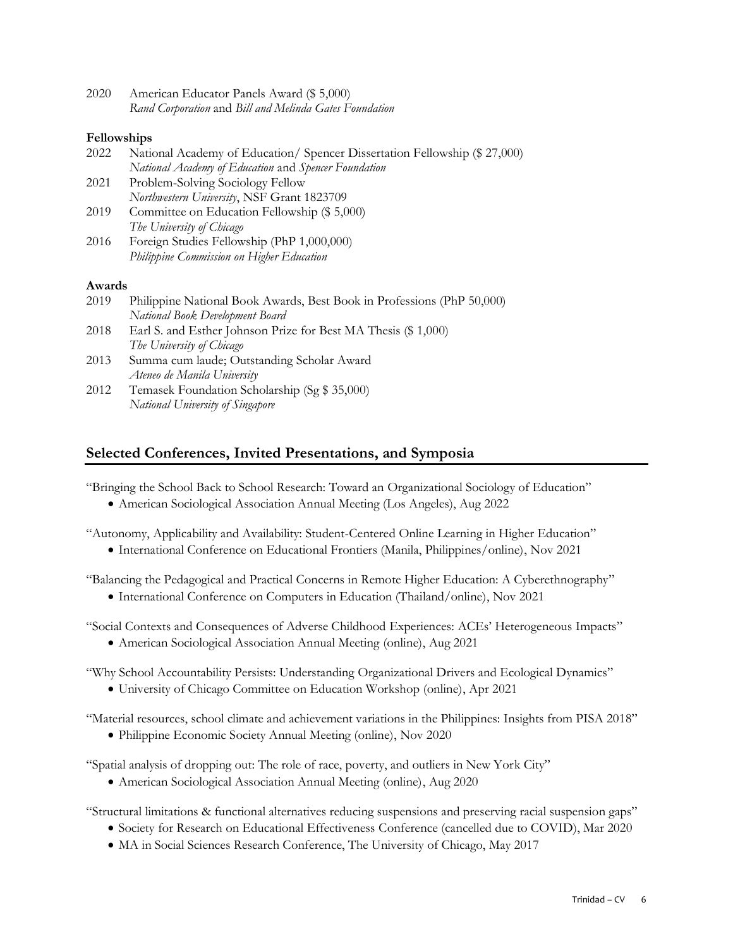| 2020 | American Educator Panels Award (\$ 5,000)              |
|------|--------------------------------------------------------|
|      | Rand Corporation and Bill and Melinda Gates Foundation |

### **Fellowships**

| 2022   | National Academy of Education/ Spencer Dissertation Fellowship (\$ 27,000) |
|--------|----------------------------------------------------------------------------|
|        | National Academy of Education and Spencer Foundation                       |
| 2021   | Problem-Solving Sociology Fellow                                           |
|        | Northwestern University, NSF Grant 1823709                                 |
| 2019   | Committee on Education Fellowship (\$ 5,000)                               |
|        | The University of Chicago                                                  |
| 2016   | Foreign Studies Fellowship (PhP 1,000,000)                                 |
|        | Philippine Commission on Higher Education                                  |
| Awards |                                                                            |
| 2019   | Philippine National Book Awards, Best Book in Professions (PhP 50,000)     |
|        | National Book Development Board                                            |
| 2018   | Earl S. and Esther Johnson Prize for Best MA Thesis (\$ 1,000)             |
|        | The University of Chicago                                                  |
| 2013   | Summa cum laude; Outstanding Scholar Award                                 |
|        | Ateneo de Manila University                                                |
| 2012   | Temasek Foundation Scholarship (Sg \$ 35,000)                              |
|        |                                                                            |
|        |                                                                            |
|        | National University of Singapore                                           |

### **Selected Conferences, Invited Presentations, and Symposia**

"Bringing the School Back to School Research: Toward an Organizational Sociology of Education"

• American Sociological Association Annual Meeting (Los Angeles), Aug 2022

"Autonomy, Applicability and Availability: Student-Centered Online Learning in Higher Education"

• International Conference on Educational Frontiers (Manila, Philippines/online), Nov 2021

"Balancing the Pedagogical and Practical Concerns in Remote Higher Education: A Cyberethnography"

• International Conference on Computers in Education (Thailand/online), Nov 2021

"Social Contexts and Consequences of Adverse Childhood Experiences: ACEs' Heterogeneous Impacts"

• American Sociological Association Annual Meeting (online), Aug 2021

"Why School Accountability Persists: Understanding Organizational Drivers and Ecological Dynamics"

• University of Chicago Committee on Education Workshop (online), Apr 2021

"Material resources, school climate and achievement variations in the Philippines: Insights from PISA 2018"

• Philippine Economic Society Annual Meeting (online), Nov 2020

"Spatial analysis of dropping out: The role of race, poverty, and outliers in New York City"

• American Sociological Association Annual Meeting (online), Aug 2020

"Structural limitations & functional alternatives reducing suspensions and preserving racial suspension gaps"

- Society for Research on Educational Effectiveness Conference (cancelled due to COVID), Mar 2020
- MA in Social Sciences Research Conference, The University of Chicago, May 2017